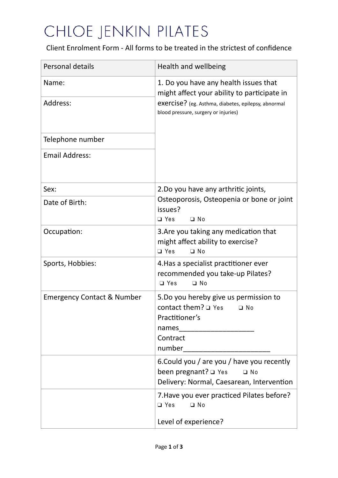## CHLOE JENKIN PILATES

Client Enrolment Form - All forms to be treated in the strictest of confidence

| <b>Personal details</b>               | Health and wellbeing                                                                                                               |
|---------------------------------------|------------------------------------------------------------------------------------------------------------------------------------|
| Name:                                 | 1. Do you have any health issues that<br>might affect your ability to participate in                                               |
| Address:                              | exercise? (eg. Asthma, diabetes, epilepsy, abnormal<br>blood pressure, surgery or injuries)                                        |
| Telephone number                      |                                                                                                                                    |
| <b>Email Address:</b>                 |                                                                                                                                    |
| Sex:                                  | 2. Do you have any arthritic joints,                                                                                               |
| Date of Birth:                        | Osteoporosis, Osteopenia or bone or joint<br>issues?<br>□ Yes<br>$\Box$ No                                                         |
| Occupation:                           | 3. Are you taking any medication that<br>might affect ability to exercise?<br>□ Yes<br>$\Box$ No                                   |
| Sports, Hobbies:                      | 4. Has a specialist practitioner ever<br>recommended you take-up Pilates?<br>$\Box$ No<br>$\Box$ Yes                               |
| <b>Emergency Contact &amp; Number</b> | 5.Do you hereby give us permission to<br>contact them? $\square$ Yes<br>$\Box$ No<br>Practitioner's<br>names<br>Contract<br>number |
|                                       | 6. Could you / are you / have you recently<br>been pregnant? □ Yes<br>$\Box$ No<br>Delivery: Normal, Caesarean, Intervention       |
|                                       | 7. Have you ever practiced Pilates before?<br>$\Box$ Yes<br>$\Box$ No                                                              |
|                                       | Level of experience?                                                                                                               |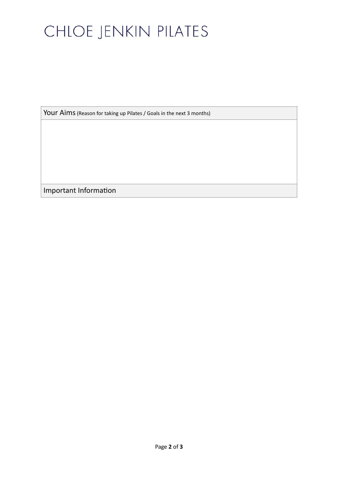## CHLOE JENKIN PILATES

Your Aims (Reason for taking up Pilates / Goals in the next 3 months)

Important Information